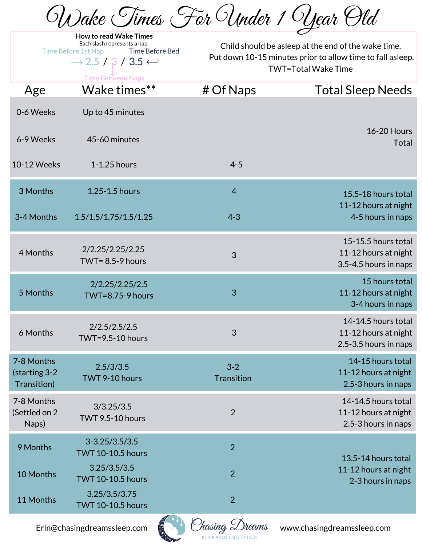Wake Times For Under 1 Year Old

| <b>How to read Wake Times</b><br>Each slash represents a nap<br><b>Time Before Bed</b><br><b>Time Before 1st Nap</b><br>$\rightarrow$ 2.5 / 3 / 3.5 $\leftarrow$<br><b>Time Between Naps</b> |                                                    | Child should be asleep at the end of the wake time.<br>Put down 10-15 minutes prior to allow time to fall asleep.<br><b>TWT=Total Wake Time</b> |                                                                      |
|----------------------------------------------------------------------------------------------------------------------------------------------------------------------------------------------|----------------------------------------------------|-------------------------------------------------------------------------------------------------------------------------------------------------|----------------------------------------------------------------------|
| Age                                                                                                                                                                                          | Wake times**                                       | # Of Naps                                                                                                                                       | <b>Total Sleep Needs</b>                                             |
| 0-6 Weeks                                                                                                                                                                                    | Up to 45 minutes                                   |                                                                                                                                                 |                                                                      |
| 6-9 Weeks                                                                                                                                                                                    | 45-60 minutes                                      |                                                                                                                                                 | <b>16-20 Hours</b><br><b>Total</b>                                   |
| 10-12 Weeks                                                                                                                                                                                  | 1-1.25 hours                                       | $4 - 5$                                                                                                                                         |                                                                      |
| 3 Months                                                                                                                                                                                     | 1.25-1.5 hours                                     | $\overline{4}$                                                                                                                                  | 15.5-18 hours total                                                  |
| 3-4 Months                                                                                                                                                                                   | 1.5/1.5/1.75/1.5/1.25                              | $4 - 3$                                                                                                                                         | 11-12 hours at night<br>4-5 hours in naps                            |
| 4 Months                                                                                                                                                                                     | 2/2.25/2.25/2.25<br>TWT= $8.5 - 9$ hours           | 3                                                                                                                                               | 15-15.5 hours total<br>11-12 hours at night<br>3.5-4.5 hours in naps |
| 5 Months                                                                                                                                                                                     | 2/2.25/2.25/2.5<br>$TWT=8.75-9$ hours              | 3                                                                                                                                               | 15 hours total<br>11-12 hours at night<br>3-4 hours in naps          |
| 6 Months                                                                                                                                                                                     | 2/2.5/2.5/2.5<br><b>TWT=9.5-10 hours</b>           | 3                                                                                                                                               | 14-14.5 hours total<br>11-12 hours at night<br>2.5-3.5 hours in naps |
| 7-8 Months<br>(starting 3-2<br>Transition)                                                                                                                                                   | 2.5/3/3.5<br>TWT 9-10 hours                        | $3 - 2$<br><b>Transition</b>                                                                                                                    | 14-15 hours total<br>11-12 hours at night<br>2.5-3 hours in naps     |
| 7-8 Months<br>(Settled on 2<br>Naps)                                                                                                                                                         | 3/3.25/3.5<br><b>TWT 9.5-10 hours</b>              | $\overline{2}$                                                                                                                                  | 14-14.5 hours total<br>11-12 hours at night<br>2.5-3 hours in naps   |
| 9 Months                                                                                                                                                                                     | $3 - 3.25 / 3.5 / 3.5$<br><b>TWT 10-10.5 hours</b> | $\overline{2}$                                                                                                                                  | 13.5-14 hours total                                                  |
| 10 Months                                                                                                                                                                                    | 3.25/3.5/3.5<br><b>TWT 10-10.5 hours</b>           | $\overline{2}$                                                                                                                                  | 11-12 hours at night<br>2-3 hours in naps                            |
| 11 Months                                                                                                                                                                                    | 3.25/3.5/3.75<br><b>TWT 10-10.5 hours</b>          | $\overline{2}$                                                                                                                                  |                                                                      |